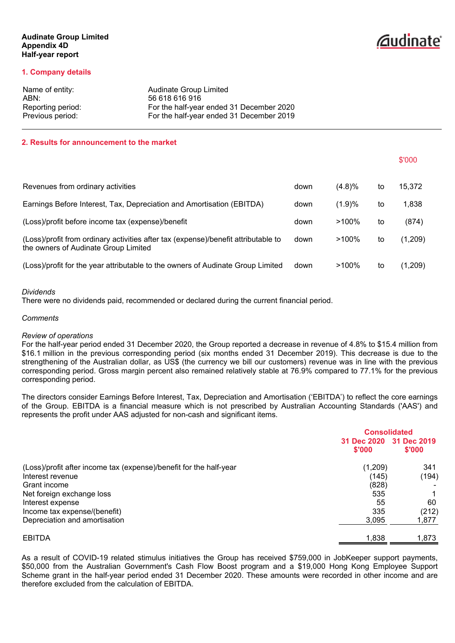#### **Audinate Group Limited Appendix 4D Half-year report**

# *<u>Caudinate</u>*

\$'000

#### **1. Company details**

| Name of entity:   | Audinate Group Limited                   |
|-------------------|------------------------------------------|
| ABN:              | 56 618 616 916                           |
| Reporting period: | For the half-year ended 31 December 2020 |
| Previous period:  | For the half-year ended 31 December 2019 |

#### **2. Results for announcement to the market**

| Revenues from ordinary activities                                                                                          | down | (4.8)%   | to | 15,372  |
|----------------------------------------------------------------------------------------------------------------------------|------|----------|----|---------|
| Earnings Before Interest, Tax, Depreciation and Amortisation (EBITDA)                                                      | down | (1.9)%   | to | 1,838   |
| (Loss)/profit before income tax (expense)/benefit                                                                          | down | $>100\%$ | to | (874)   |
| (Loss)/profit from ordinary activities after tax (expense)/benefit attributable to<br>the owners of Audinate Group Limited | down | $>100\%$ | to | (1,209) |
| (Loss)/profit for the year attributable to the owners of Audinate Group Limited                                            | down | $>100\%$ | to | (1,209) |

#### *Dividends*

There were no dividends paid, recommended or declared during the current financial period.

#### *Comments*

#### *Review of operations*

For the half-year period ended 31 December 2020, the Group reported a decrease in revenue of 4.8% to \$15.4 million from \$16.1 million in the previous corresponding period (six months ended 31 December 2019). This decrease is due to the strengthening of the Australian dollar, as US\$ (the currency we bill our customers) revenue was in line with the previous corresponding period. Gross margin percent also remained relatively stable at 76.9% compared to 77.1% for the previous corresponding period.

The directors consider Earnings Before Interest, Tax, Depreciation and Amortisation ('EBITDA') to reflect the core earnings of the Group. EBITDA is a financial measure which is not prescribed by Australian Accounting Standards ('AAS') and represents the profit under AAS adjusted for non-cash and significant items.

|                                                                    | <b>Consolidated</b>   |                       |  |
|--------------------------------------------------------------------|-----------------------|-----------------------|--|
|                                                                    | 31 Dec 2020<br>\$'000 | 31 Dec 2019<br>\$'000 |  |
| (Loss)/profit after income tax (expense)/benefit for the half-year | (1,209)               | 341                   |  |
| Interest revenue                                                   | (145)                 | (194)                 |  |
| Grant income                                                       | (828)                 |                       |  |
| Net foreign exchange loss                                          | 535                   |                       |  |
| Interest expense                                                   | 55                    | 60                    |  |
| Income tax expense/(benefit)                                       | 335                   | (212)                 |  |
| Depreciation and amortisation                                      | 3,095                 | 1,877                 |  |
| <b>EBITDA</b>                                                      | 1,838                 | 1,873                 |  |

As a result of COVID-19 related stimulus initiatives the Group has received \$759,000 in JobKeeper support payments, \$50,000 from the Australian Government's Cash Flow Boost program and a \$19,000 Hong Kong Employee Support Scheme grant in the half-year period ended 31 December 2020. These amounts were recorded in other income and are therefore excluded from the calculation of EBITDA.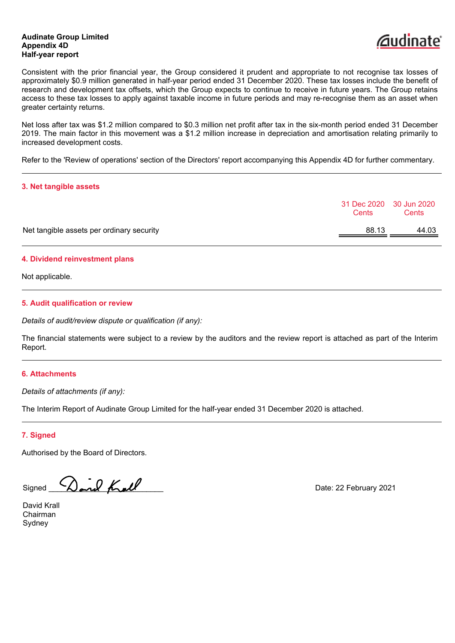#### **Audinate Group Limited Appendix 4D Half-year report**



Consistent with the prior financial year, the Group considered it prudent and appropriate to not recognise tax losses of approximately \$0.9 million generated in half-year period ended 31 December 2020. These tax losses include the benefit of research and development tax offsets, which the Group expects to continue to receive in future years. The Group retains access to these tax losses to apply against taxable income in future periods and may re-recognise them as an asset when greater certainty returns.

Net loss after tax was \$1.2 million compared to \$0.3 million net profit after tax in the six-month period ended 31 December 2019. The main factor in this movement was a \$1.2 million increase in depreciation and amortisation relating primarily to increased development costs.

Refer to the 'Review of operations' section of the Directors' report accompanying this Appendix 4D for further commentary.

#### **3. Net tangible assets**

|                                           | Cents | 31 Dec 2020 30 Jun 2020<br>Cents |
|-------------------------------------------|-------|----------------------------------|
| Net tangible assets per ordinary security | 88.13 | 44.03                            |
|                                           |       |                                  |

#### **4. Dividend reinvestment plans**

Not applicable.

#### **5. Audit qualification or review**

*Details of audit/review dispute or qualification (if any):*

The financial statements were subject to a review by the auditors and the review report is attached as part of the Interim Report.

#### **6. Attachments**

*Details of attachments (if any):*

The Interim Report of Audinate Group Limited for the half-year ended 31 December 2020 is attached.

#### **7. Signed**

Authorised by the Board of Directors.

Signed **Dand Kall** Date: 22 February 2021

David Krall Chairman **Sydney**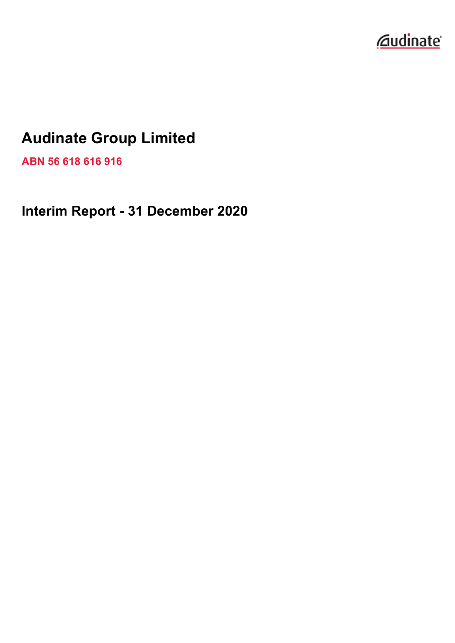

### **Audinate Group Limited**

**ABN 56 618 616 916**

**Interim Report - 31 December 2020**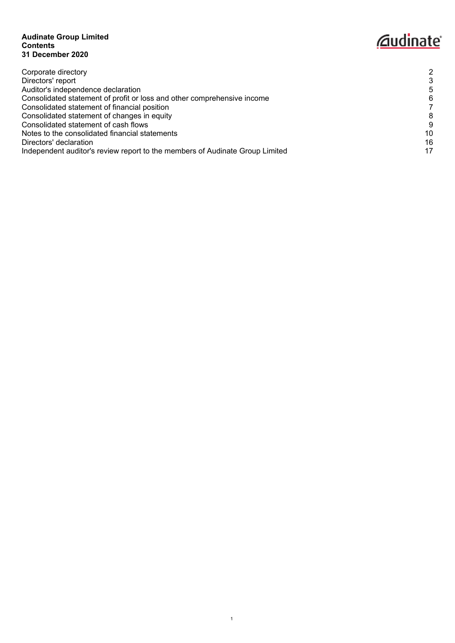#### **Audinate Group Limited Contents 31 December 2020**

## *<u>Caudinate</u>*

| Corporate directory                                                          | 2  |
|------------------------------------------------------------------------------|----|
| Directors' report                                                            | 3  |
| Auditor's independence declaration                                           | 5  |
| Consolidated statement of profit or loss and other comprehensive income      | 6  |
| Consolidated statement of financial position                                 |    |
| Consolidated statement of changes in equity                                  | 8  |
| Consolidated statement of cash flows                                         | 9  |
| Notes to the consolidated financial statements                               | 10 |
| Directors' declaration                                                       | 16 |
| Independent auditor's review report to the members of Audinate Group Limited | 17 |
|                                                                              |    |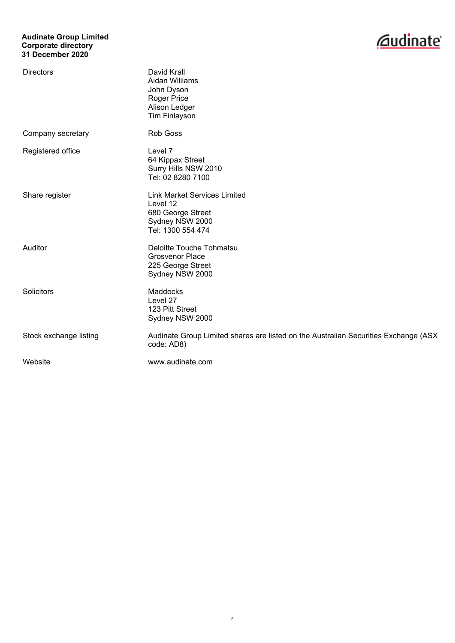#### **Audinate Group Limited Corporate directory 31 December 2020**



<span id="page-4-0"></span>

| <b>Directors</b>       | David Krall<br>Aidan Williams<br>John Dyson<br><b>Roger Price</b><br>Alison Ledger<br><b>Tim Finlayson</b>   |
|------------------------|--------------------------------------------------------------------------------------------------------------|
| Company secretary      | Rob Goss                                                                                                     |
| Registered office      | Level 7<br>64 Kippax Street<br>Surry Hills NSW 2010<br>Tel: 02 8280 7100                                     |
| Share register         | <b>Link Market Services Limited</b><br>Level 12<br>680 George Street<br>Sydney NSW 2000<br>Tel: 1300 554 474 |
| Auditor                | Deloitte Touche Tohmatsu<br><b>Grosvenor Place</b><br>225 George Street<br>Sydney NSW 2000                   |
| Solicitors             | Maddocks<br>Level 27<br>123 Pitt Street<br>Sydney NSW 2000                                                   |
| Stock exchange listing | Audinate Group Limited shares are listed on the Australian Securities Exchange (ASX<br>code: AD8)            |
| Website                | www.audinate.com                                                                                             |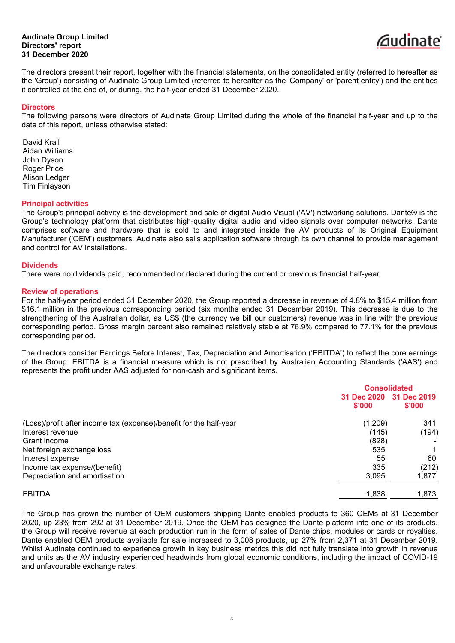#### **Audinate Group Limited Directors' report 31 December 2020**



<span id="page-5-0"></span>The directors present their report, together with the financial statements, on the consolidated entity (referred to hereafter as the 'Group') consisting of Audinate Group Limited (referred to hereafter as the 'Company' or 'parent entity') and the entities it controlled at the end of, or during, the half-year ended 31 December 2020.

#### **Directors**

The following persons were directors of Audinate Group Limited during the whole of the financial half-year and up to the date of this report, unless otherwise stated:

David Krall Aidan Williams John Dyson Roger Price Alison Ledger Tim Finlayson

#### **Principal activities**

The Group's principal activity is the development and sale of digital Audio Visual ('AV') networking solutions. Dante® is the Group's technology platform that distributes high-quality digital audio and video signals over computer networks. Dante comprises software and hardware that is sold to and integrated inside the AV products of its Original Equipment Manufacturer ('OEM') customers. Audinate also sells application software through its own channel to provide management and control for AV installations.

#### **Dividends**

There were no dividends paid, recommended or declared during the current or previous financial half-year.

#### **Review of operations**

For the half-year period ended 31 December 2020, the Group reported a decrease in revenue of 4.8% to \$15.4 million from \$16.1 million in the previous corresponding period (six months ended 31 December 2019). This decrease is due to the strengthening of the Australian dollar, as US\$ (the currency we bill our customers) revenue was in line with the previous corresponding period. Gross margin percent also remained relatively stable at 76.9% compared to 77.1% for the previous corresponding period.

The directors consider Earnings Before Interest, Tax, Depreciation and Amortisation ('EBITDA') to reflect the core earnings of the Group. EBITDA is a financial measure which is not prescribed by Australian Accounting Standards ('AAS') and represents the profit under AAS adjusted for non-cash and significant items.

|                                                                    |         | <b>Consolidated</b>               |  |
|--------------------------------------------------------------------|---------|-----------------------------------|--|
|                                                                    | \$'000  | 31 Dec 2020 31 Dec 2019<br>\$'000 |  |
| (Loss)/profit after income tax (expense)/benefit for the half-year | (1,209) | 341                               |  |
| Interest revenue                                                   | (145)   | (194)                             |  |
| Grant income                                                       | (828)   |                                   |  |
| Net foreign exchange loss                                          | 535     |                                   |  |
| Interest expense                                                   | 55      | 60                                |  |
| Income tax expense/(benefit)                                       | 335     | (212)                             |  |
| Depreciation and amortisation                                      | 3,095   | 1,877                             |  |
| <b>EBITDA</b>                                                      | 1,838   | 1,873                             |  |

The Group has grown the number of OEM customers shipping Dante enabled products to 360 OEMs at 31 December 2020, up 23% from 292 at 31 December 2019. Once the OEM has designed the Dante platform into one of its products, the Group will receive revenue at each production run in the form of sales of Dante chips, modules or cards or royalties. Dante enabled OEM products available for sale increased to 3,008 products, up 27% from 2,371 at 31 December 2019. Whilst Audinate continued to experience growth in key business metrics this did not fully translate into growth in revenue and units as the AV industry experienced headwinds from global economic conditions, including the impact of COVID-19 and unfavourable exchange rates.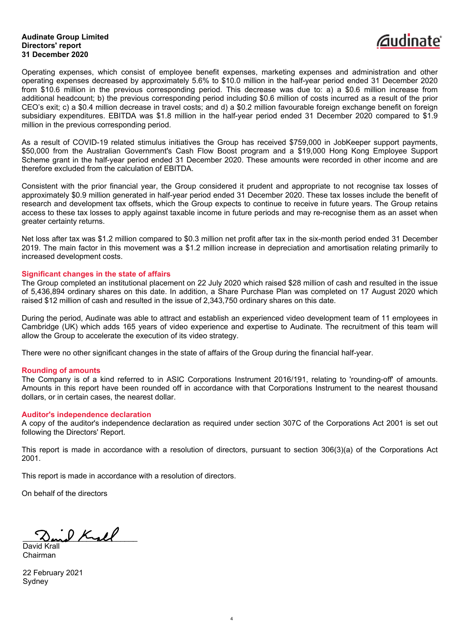#### **Audinate Group Limited Directors' report 31 December 2020**



Operating expenses, which consist of employee benefit expenses, marketing expenses and administration and other operating expenses decreased by approximately 5.6% to \$10.0 million in the half-year period ended 31 December 2020 from \$10.6 million in the previous corresponding period. This decrease was due to: a) a \$0.6 million increase from additional headcount; b) the previous corresponding period including \$0.6 million of costs incurred as a result of the prior CEO's exit; c) a \$0.4 million decrease in travel costs; and d) a \$0.2 million favourable foreign exchange benefit on foreign subsidiary expenditures. EBITDA was \$1.8 million in the half-year period ended 31 December 2020 compared to \$1.9 million in the previous corresponding period.

As a result of COVID-19 related stimulus initiatives the Group has received \$759,000 in JobKeeper support payments, \$50,000 from the Australian Government's Cash Flow Boost program and a \$19,000 Hong Kong Employee Support Scheme grant in the half-year period ended 31 December 2020. These amounts were recorded in other income and are therefore excluded from the calculation of EBITDA.

Consistent with the prior financial year, the Group considered it prudent and appropriate to not recognise tax losses of approximately \$0.9 million generated in half-year period ended 31 December 2020. These tax losses include the benefit of research and development tax offsets, which the Group expects to continue to receive in future years. The Group retains access to these tax losses to apply against taxable income in future periods and may re-recognise them as an asset when greater certainty returns.

Net loss after tax was \$1.2 million compared to \$0.3 million net profit after tax in the six-month period ended 31 December 2019. The main factor in this movement was a \$1.2 million increase in depreciation and amortisation relating primarily to increased development costs.

#### **Significant changes in the state of affairs**

The Group completed an institutional placement on 22 July 2020 which raised \$28 million of cash and resulted in the issue of 5,436,894 ordinary shares on this date. In addition, a Share Purchase Plan was completed on 17 August 2020 which raised \$12 million of cash and resulted in the issue of 2,343,750 ordinary shares on this date.

During the period, Audinate was able to attract and establish an experienced video development team of 11 employees in Cambridge (UK) which adds 165 years of video experience and expertise to Audinate. The recruitment of this team will allow the Group to accelerate the execution of its video strategy.

There were no other significant changes in the state of affairs of the Group during the financial half-year.

#### **Rounding of amounts**

The Company is of a kind referred to in ASIC Corporations Instrument 2016/191, relating to 'rounding-off' of amounts. Amounts in this report have been rounded off in accordance with that Corporations Instrument to the nearest thousand dollars, or in certain cases, the nearest dollar.

#### **Auditor's independence declaration**

A copy of the auditor's independence declaration as required under section 307C of the Corporations Act 2001 is set out following the Directors' Report.

This report is made in accordance with a resolution of directors, pursuant to section 306(3)(a) of the Corporations Act 2001.

4

This report is made in accordance with a resolution of directors.

On behalf of the directors

 $\cdot$  P Kyel

David Krall Chairman

22 February 2021 **Sydney**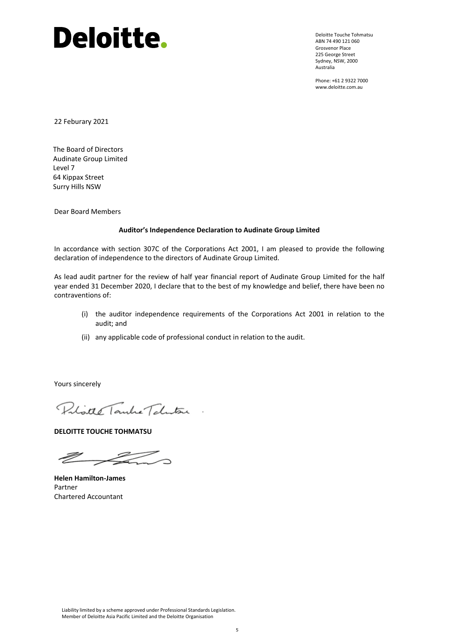# Deloitte.

Deloitte Touche Tohmatsu ABN 74 490 121 060 Grosvenor Place 225 George Street Sydney, NSW, 2000 Australia

<span id="page-7-0"></span>Phone: +61 2 9322 7000 www.deloitte.com.au

22 Feburary 2021

The Board of Directors Audinate Group Limited Level 7 64 Kippax Street Surry Hills NSW

Dear Board Members

#### **Auditor's Independence Declaration to Audinate Group Limited**

In accordance with section 307C of the Corporations Act 2001, I am pleased to provide the following declaration of independence to the directors of Audinate Group Limited.

As lead audit partner for the review of half year financial report of Audinate Group Limited for the half year ended 31 December 2020, I declare that to the best of my knowledge and belief, there have been no contraventions of:

- (i) the auditor independence requirements of the Corporations Act 2001 in relation to the audit; and
- (ii) any applicable code of professional conduct in relation to the audit.

Yours sincerely

Polister Tanke Teleston

**DELOITTE TOUCHE TOHMATSU**

 $\mathbb{Z}$ 

**Helen Hamilton-James** Partner Chartered Accountant

Liability limited by a scheme approved under Professional Standards Legislation. Member of Deloitte Asia Pacific Limited and the Deloitte Organisation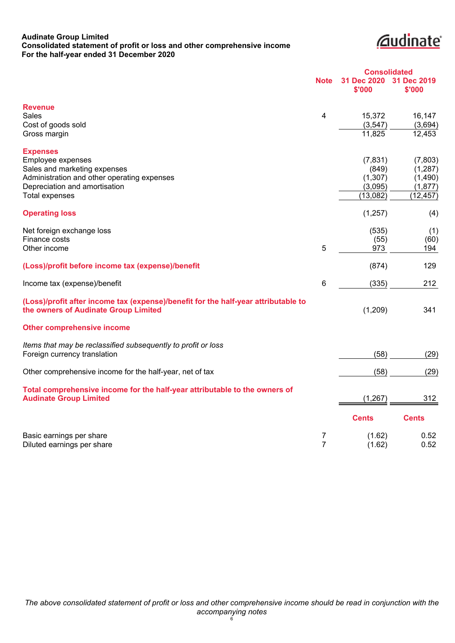#### **Audinate Group Limited Consolidated statement of profit or loss and other comprehensive income For the half-year ended 31 December 2020**

*<u><u>Caudinate</u>*</u>

<span id="page-8-0"></span>

|                                                                                                                            | <b>Consolidated</b> |                       |                       |
|----------------------------------------------------------------------------------------------------------------------------|---------------------|-----------------------|-----------------------|
|                                                                                                                            | <b>Note</b>         | 31 Dec 2020<br>\$'000 | 31 Dec 2019<br>\$'000 |
| <b>Revenue</b>                                                                                                             |                     |                       |                       |
| <b>Sales</b>                                                                                                               | 4                   | 15,372                | 16,147                |
| Cost of goods sold                                                                                                         |                     | (3, 547)              | (3,694)               |
| Gross margin                                                                                                               |                     | 11,825                | 12,453                |
| <b>Expenses</b>                                                                                                            |                     |                       |                       |
| Employee expenses                                                                                                          |                     | (7, 831)              | (7,803)               |
| Sales and marketing expenses                                                                                               |                     | (849)                 | (1, 287)              |
| Administration and other operating expenses                                                                                |                     | (1, 307)              | (1,490)               |
| Depreciation and amortisation                                                                                              |                     | (3,095)               | (1, 877)              |
| <b>Total expenses</b>                                                                                                      |                     | (13,082)              | (12, 457)             |
| <b>Operating loss</b>                                                                                                      |                     | (1,257)               | (4)                   |
| Net foreign exchange loss                                                                                                  |                     | (535)                 | (1)                   |
| Finance costs                                                                                                              |                     | (55)                  | (60)                  |
| Other income                                                                                                               | 5                   | 973                   | 194                   |
| (Loss)/profit before income tax (expense)/benefit                                                                          |                     | (874)                 | 129                   |
| Income tax (expense)/benefit                                                                                               | 6                   | (335)                 | 212                   |
| (Loss)/profit after income tax (expense)/benefit for the half-year attributable to<br>the owners of Audinate Group Limited |                     | (1,209)               | 341                   |
| <b>Other comprehensive income</b>                                                                                          |                     |                       |                       |
| Items that may be reclassified subsequently to profit or loss                                                              |                     |                       |                       |
| Foreign currency translation                                                                                               |                     | (58)                  | (29)                  |
| Other comprehensive income for the half-year, net of tax                                                                   |                     | (58)                  | (29)                  |
| Total comprehensive income for the half-year attributable to the owners of                                                 |                     |                       |                       |
| <b>Audinate Group Limited</b>                                                                                              |                     | (1, 267)              | 312                   |
|                                                                                                                            |                     | <b>Cents</b>          | <b>Cents</b>          |
| Basic earnings per share                                                                                                   | 7                   | (1.62)                | 0.52                  |
| Diluted earnings per share                                                                                                 | $\overline{7}$      | (1.62)                | 0.52                  |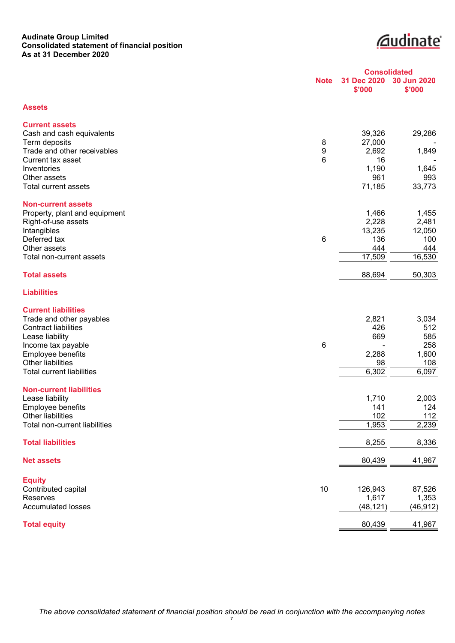#### **Audinate Group Limited Consolidated statement of financial position As at 31 December 2020**

**Cudinate** 

<span id="page-9-0"></span>

|                                                         |             | <b>Consolidated</b>   |                       |
|---------------------------------------------------------|-------------|-----------------------|-----------------------|
|                                                         | <b>Note</b> | 31 Dec 2020<br>\$'000 | 30 Jun 2020<br>\$'000 |
| <b>Assets</b>                                           |             |                       |                       |
| <b>Current assets</b>                                   |             |                       |                       |
| Cash and cash equivalents<br>Term deposits              | 8           | 39,326<br>27,000      | 29,286                |
| Trade and other receivables                             | 9           | 2,692                 | 1,849                 |
| Current tax asset                                       | 6           | 16                    |                       |
| Inventories<br>Other assets                             |             | 1,190<br>961          | 1,645<br>993          |
| Total current assets                                    |             | 71,185                | 33,773                |
| <b>Non-current assets</b>                               |             |                       |                       |
| Property, plant and equipment<br>Right-of-use assets    |             | 1,466<br>2,228        | 1,455<br>2,481        |
| Intangibles                                             |             | 13,235                | 12,050                |
| Deferred tax                                            | 6           | 136                   | 100                   |
| Other assets<br>Total non-current assets                |             | 444<br>17,509         | 444<br>16,530         |
| <b>Total assets</b>                                     |             | 88,694                | 50,303                |
|                                                         |             |                       |                       |
| <b>Liabilities</b>                                      |             |                       |                       |
| <b>Current liabilities</b>                              |             |                       |                       |
| Trade and other payables<br><b>Contract liabilities</b> |             | 2,821<br>426          | 3,034<br>512          |
| Lease liability                                         |             | 669                   | 585                   |
| Income tax payable                                      | 6           |                       | 258                   |
| Employee benefits<br>Other liabilities                  |             | 2,288<br>98           | 1,600<br>108          |
| <b>Total current liabilities</b>                        |             | 6,302                 | 6,097                 |
| <b>Non-current liabilities</b>                          |             |                       |                       |
| Lease liability                                         |             | 1,710                 | 2,003                 |
| Employee benefits<br>Other liabilities                  |             | 141<br>102            | 124<br>112            |
| Total non-current liabilities                           |             | 1,953                 | 2,239                 |
| <b>Total liabilities</b>                                |             | 8,255                 | 8,336                 |
| <b>Net assets</b>                                       |             | 80,439                | 41,967                |
|                                                         |             |                       |                       |
| <b>Equity</b><br>Contributed capital                    | 10          | 126,943               | 87,526                |
| Reserves                                                |             | 1,617                 | 1,353                 |
| <b>Accumulated losses</b>                               |             | (48, 121)             | (46, 912)             |
| <b>Total equity</b>                                     |             | 80,439                | 41,967                |

*The above consolidated statement of financial position should be read in conjunction with the accompanying notes* 7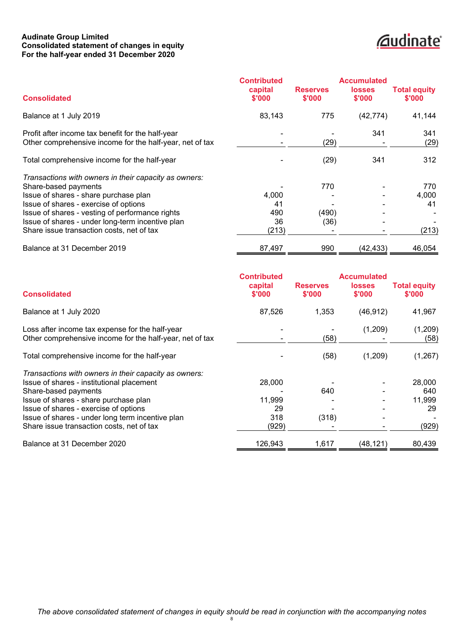#### **Audinate Group Limited Consolidated statement of changes in equity For the half-year ended 31 December 2020**

## **Cudinate**

<span id="page-10-0"></span>

|                                                                                                                                                                                                                                                                                                                     | <b>Contributed</b>                |                           | <b>Accumulated</b>      |                               |
|---------------------------------------------------------------------------------------------------------------------------------------------------------------------------------------------------------------------------------------------------------------------------------------------------------------------|-----------------------------------|---------------------------|-------------------------|-------------------------------|
| <b>Consolidated</b>                                                                                                                                                                                                                                                                                                 | capital<br>\$'000                 | <b>Reserves</b><br>\$'000 | <b>losses</b><br>\$'000 | <b>Total equity</b><br>\$'000 |
| Balance at 1 July 2019                                                                                                                                                                                                                                                                                              | 83,143                            | 775                       | (42, 774)               | 41,144                        |
| Profit after income tax benefit for the half-year<br>Other comprehensive income for the half-year, net of tax                                                                                                                                                                                                       |                                   | (29)                      | 341                     | 341<br>(29)                   |
| Total comprehensive income for the half-year                                                                                                                                                                                                                                                                        |                                   | (29)                      | 341                     | 312                           |
| Transactions with owners in their capacity as owners:<br>Share-based payments<br>Issue of shares - share purchase plan<br>Issue of shares - exercise of options<br>Issue of shares - vesting of performance rights<br>Issue of shares - under long-term incentive plan<br>Share issue transaction costs, net of tax | 4,000<br>41<br>490<br>36<br>(213) | 770<br>(490)<br>(36)      |                         | 770<br>4,000<br>41<br>(213)   |
| Balance at 31 December 2019                                                                                                                                                                                                                                                                                         | 87,497                            | 990                       | (42, 433)               | 46,054                        |

|                                                                                                             | <b>Contributed</b> |                           | <b>Accumulated</b>      |                               |
|-------------------------------------------------------------------------------------------------------------|--------------------|---------------------------|-------------------------|-------------------------------|
| <b>Consolidated</b>                                                                                         | capital<br>\$'000  | <b>Reserves</b><br>\$'000 | <b>losses</b><br>\$'000 | <b>Total equity</b><br>\$'000 |
| Balance at 1 July 2020                                                                                      | 87,526             | 1,353                     | (46, 912)               | 41,967                        |
| Loss after income tax expense for the half-year<br>Other comprehensive income for the half-year, net of tax |                    | (58)                      | (1,209)                 | (1,209)<br>(58)               |
| Total comprehensive income for the half-year                                                                |                    | (58)                      | (1,209)                 | (1,267)                       |
| Transactions with owners in their capacity as owners:                                                       |                    |                           |                         |                               |
| Issue of shares - institutional placement                                                                   | 28,000             |                           |                         | 28,000                        |
| Share-based payments                                                                                        |                    | 640                       |                         | 640                           |
| Issue of shares - share purchase plan                                                                       | 11,999             |                           |                         | 11,999                        |
| Issue of shares - exercise of options                                                                       | 29                 |                           |                         | 29                            |
| Issue of shares - under long term incentive plan                                                            | 318                | (318)                     |                         |                               |
| Share issue transaction costs, net of tax                                                                   | (929)              |                           |                         | (929)                         |
| Balance at 31 December 2020                                                                                 | 126,943            | 1,617                     | (48, 121)               | 80,439                        |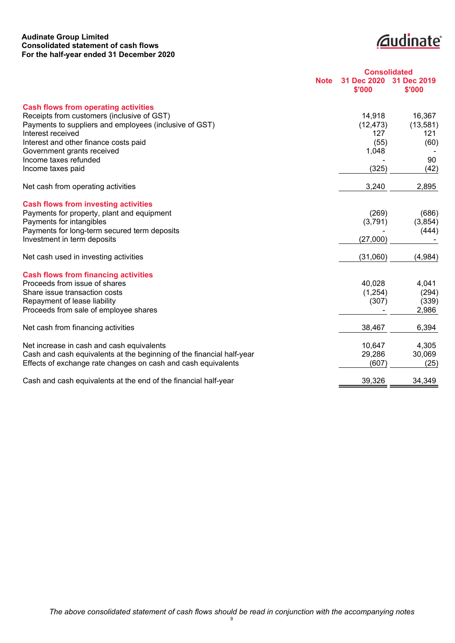#### **Audinate Group Limited Consolidated statement of cash flows For the half-year ended 31 December 2020**

**Cudinate** 

<span id="page-11-0"></span>

|                                                                             | <b>Consolidated</b>   |                       |  |
|-----------------------------------------------------------------------------|-----------------------|-----------------------|--|
| <b>Note</b>                                                                 | 31 Dec 2020<br>\$'000 | 31 Dec 2019<br>\$'000 |  |
| <b>Cash flows from operating activities</b>                                 |                       |                       |  |
| Receipts from customers (inclusive of GST)                                  | 14,918                | 16,367                |  |
| Payments to suppliers and employees (inclusive of GST)<br>Interest received | (12, 473)<br>127      | (13, 581)<br>121      |  |
| Interest and other finance costs paid                                       | (55)                  | (60)                  |  |
| Government grants received                                                  | 1,048                 |                       |  |
| Income taxes refunded                                                       |                       | 90                    |  |
| Income taxes paid                                                           | (325)                 | (42)                  |  |
| Net cash from operating activities                                          | 3,240                 | 2,895                 |  |
| <b>Cash flows from investing activities</b>                                 |                       |                       |  |
| Payments for property, plant and equipment                                  | (269)                 | (686)                 |  |
| Payments for intangibles                                                    | (3,791)               | (3,854)               |  |
| Payments for long-term secured term deposits                                |                       | (444)                 |  |
| Investment in term deposits                                                 | (27,000)              |                       |  |
| Net cash used in investing activities                                       | (31,060)              | (4,984)               |  |
| <b>Cash flows from financing activities</b>                                 |                       |                       |  |
| Proceeds from issue of shares                                               | 40,028                | 4,041                 |  |
| Share issue transaction costs                                               | (1,254)               | (294)                 |  |
| Repayment of lease liability                                                | (307)                 | (339)                 |  |
| Proceeds from sale of employee shares                                       |                       | 2,986                 |  |
| Net cash from financing activities                                          | 38,467                | 6,394                 |  |
| Net increase in cash and cash equivalents                                   | 10,647                | 4,305                 |  |
| Cash and cash equivalents at the beginning of the financial half-year       | 29,286                | 30,069                |  |
| Effects of exchange rate changes on cash and cash equivalents               | (607)                 | (25)                  |  |
| Cash and cash equivalents at the end of the financial half-year             | 39,326                | 34,349                |  |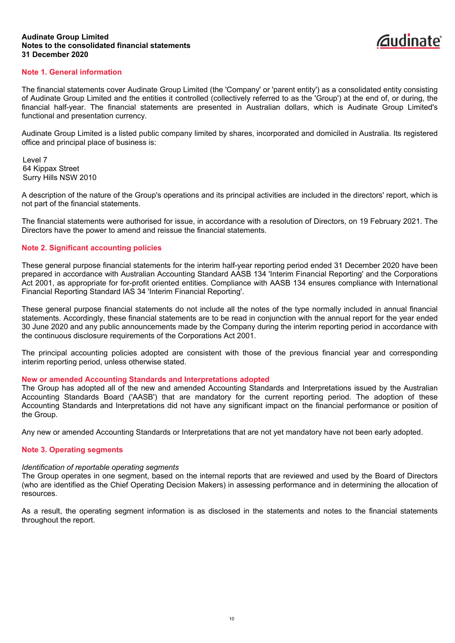

#### <span id="page-12-0"></span>**Note 1. General information**

The financial statements cover Audinate Group Limited (the 'Company' or 'parent entity') as a consolidated entity consisting of Audinate Group Limited and the entities it controlled (collectively referred to as the 'Group') at the end of, or during, the financial half-year. The financial statements are presented in Australian dollars, which is Audinate Group Limited's functional and presentation currency.

Audinate Group Limited is a listed public company limited by shares, incorporated and domiciled in Australia. Its registered office and principal place of business is:

Level 7 64 Kippax Street Surry Hills NSW 2010

A description of the nature of the Group's operations and its principal activities are included in the directors' report, which is not part of the financial statements.

The financial statements were authorised for issue, in accordance with a resolution of Directors, on 19 February 2021. The Directors have the power to amend and reissue the financial statements.

#### **Note 2. Significant accounting policies**

These general purpose financial statements for the interim half-year reporting period ended 31 December 2020 have been prepared in accordance with Australian Accounting Standard AASB 134 'Interim Financial Reporting' and the Corporations Act 2001, as appropriate for for-profit oriented entities. Compliance with AASB 134 ensures compliance with International Financial Reporting Standard IAS 34 'Interim Financial Reporting'.

These general purpose financial statements do not include all the notes of the type normally included in annual financial statements. Accordingly, these financial statements are to be read in conjunction with the annual report for the year ended 30 June 2020 and any public announcements made by the Company during the interim reporting period in accordance with the continuous disclosure requirements of the Corporations Act 2001.

The principal accounting policies adopted are consistent with those of the previous financial year and corresponding interim reporting period, unless otherwise stated.

#### **New or amended Accounting Standards and Interpretations adopted**

The Group has adopted all of the new and amended Accounting Standards and Interpretations issued by the Australian Accounting Standards Board ('AASB') that are mandatory for the current reporting period. The adoption of these Accounting Standards and Interpretations did not have any significant impact on the financial performance or position of the Group.

Any new or amended Accounting Standards or Interpretations that are not yet mandatory have not been early adopted.

#### **Note 3. Operating segments**

#### *Identification of reportable operating segments*

The Group operates in one segment, based on the internal reports that are reviewed and used by the Board of Directors (who are identified as the Chief Operating Decision Makers) in assessing performance and in determining the allocation of resources.

As a result, the operating segment information is as disclosed in the statements and notes to the financial statements throughout the report.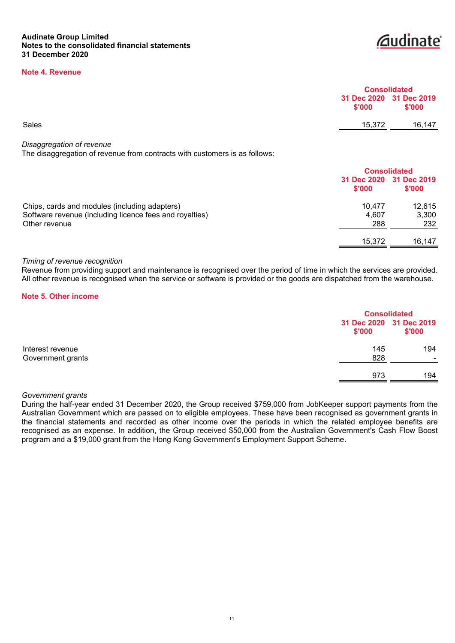#### **Note 4. Revenue**



|       |        | <b>Consolidated</b>               |  |
|-------|--------|-----------------------------------|--|
|       | \$'000 | 31 Dec 2020 31 Dec 2019<br>\$'000 |  |
| Sales | 15,372 | 16,147                            |  |
|       |        |                                   |  |

*Disaggregation of revenue*

The disaggregation of revenue from contracts with customers is as follows:

|                                                         |        | <b>Consolidated</b>               |  |
|---------------------------------------------------------|--------|-----------------------------------|--|
|                                                         | \$'000 | 31 Dec 2020 31 Dec 2019<br>\$'000 |  |
| Chips, cards and modules (including adapters)           | 10.477 | 12.615                            |  |
| Software revenue (including licence fees and royalties) | 4.607  | 3,300                             |  |
| Other revenue                                           | 288    | 232                               |  |
|                                                         | 15,372 | 16.147                            |  |

#### *Timing of revenue recognition*

Revenue from providing support and maintenance is recognised over the period of time in which the services are provided. All other revenue is recognised when the service or software is provided or the goods are dispatched from the warehouse.

#### **Note 5. Other income**

|                   | <b>Consolidated</b> |                                   |
|-------------------|---------------------|-----------------------------------|
|                   | \$'000              | 31 Dec 2020 31 Dec 2019<br>\$'000 |
| Interest revenue  | 145                 | 194                               |
| Government grants | 828                 | $\sim$                            |
|                   | 973                 | 194                               |

#### *Government grants*

During the half-year ended 31 December 2020, the Group received \$759,000 from JobKeeper support payments from the Australian Government which are passed on to eligible employees. These have been recognised as government grants in the financial statements and recorded as other income over the periods in which the related employee benefits are recognised as an expense. In addition, the Group received \$50,000 from the Australian Government's Cash Flow Boost program and a \$19,000 grant from the Hong Kong Government's Employment Support Scheme.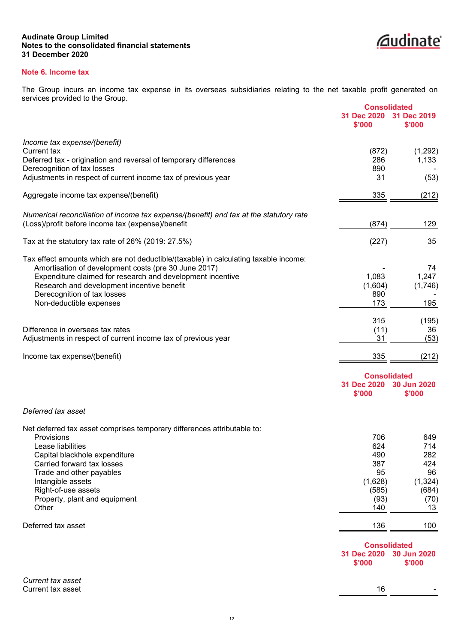

#### **Note 6. Income tax**

The Group incurs an income tax expense in its overseas subsidiaries relating to the net taxable profit generated on services provided to the Group. **Consolidated**

|                                                                                        | <b>Consolidated</b> |             |
|----------------------------------------------------------------------------------------|---------------------|-------------|
|                                                                                        | 31 Dec 2020         | 31 Dec 2019 |
|                                                                                        | \$'000              | \$'000      |
| Income tax expense/(benefit)                                                           |                     |             |
| Current tax                                                                            | (872)               | (1, 292)    |
| Deferred tax - origination and reversal of temporary differences                       | 286                 | 1,133       |
| Derecognition of tax losses                                                            | 890                 |             |
| Adjustments in respect of current income tax of previous year                          | 31                  | (53)        |
| Aggregate income tax expense/(benefit)                                                 | 335                 | (212)       |
|                                                                                        |                     |             |
| Numerical reconciliation of income tax expense/(benefit) and tax at the statutory rate |                     |             |
| (Loss)/profit before income tax (expense)/benefit                                      | (874)               | 129         |
| Tax at the statutory tax rate of $26\%$ (2019: 27.5%)                                  | (227)               | 35          |
| Tax effect amounts which are not deductible/(taxable) in calculating taxable income:   |                     |             |
| Amortisation of development costs (pre 30 June 2017)                                   |                     | 74          |
| Expenditure claimed for research and development incentive                             | 1,083               | 1,247       |
| Research and development incentive benefit                                             | (1,604)             | (1,746)     |
| Derecognition of tax losses                                                            | 890                 |             |
| Non-deductible expenses                                                                | 173                 | 195         |
|                                                                                        | 315                 | (195)       |
| Difference in overseas tax rates                                                       | (11)                | 36          |
| Adjustments in respect of current income tax of previous year                          | 31                  | (53)        |
|                                                                                        |                     |             |
| Income tax expense/(benefit)                                                           | 335                 | (212)       |
|                                                                                        | <b>Consolidated</b> |             |
|                                                                                        | 31 Dec 2020         | 30 Jun 2020 |
|                                                                                        | \$'000              | \$'000      |
| Deferred tax asset                                                                     |                     |             |
|                                                                                        |                     |             |
| Net deferred tax asset comprises temporary differences attributable to:<br>Provisions  | 706                 |             |
| Lease liabilities                                                                      | 624                 | 649<br>714  |
| Capital blackhole expenditure                                                          | 490                 | 282         |
| Carried forward tax losses                                                             | 387                 | 424         |
| Trade and other payables                                                               | 95                  | 96          |
| Intangible assets                                                                      | (1,628)             | (1, 324)    |
| Right-of-use assets                                                                    | (585)               | (684)       |
| Property, plant and equipment                                                          | (93)                | (70)        |
| Other                                                                                  | 140                 | 13          |
|                                                                                        |                     |             |
| Deferred tax asset                                                                     | 136                 | 100         |
|                                                                                        | <b>Consolidated</b> |             |
|                                                                                        | 31 Dec 2020         | 30 Jun 2020 |
|                                                                                        | \$'000              | \$'000      |
|                                                                                        |                     |             |
| Current tax asset<br>Current tax asset                                                 | 16                  |             |
|                                                                                        |                     |             |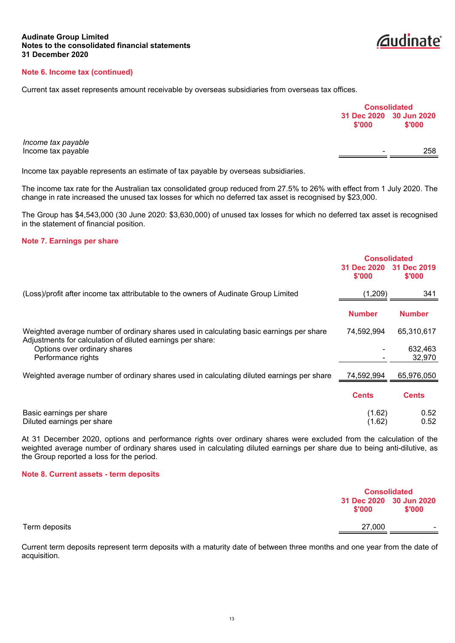#### **Note 6. Income tax (continued)**

Current tax asset represents amount receivable by overseas subsidiaries from overseas tax offices.

|                    |                                   | <b>Consolidated</b> |  |
|--------------------|-----------------------------------|---------------------|--|
|                    | 31 Dec 2020 30 Jun 2020<br>\$'000 | \$'000              |  |
| Income tax payable |                                   |                     |  |
| Income tax payable | $\sim$                            | 258                 |  |

*<u></u>* audinate

Income tax payable represents an estimate of tax payable by overseas subsidiaries.

The income tax rate for the Australian tax consolidated group reduced from 27.5% to 26% with effect from 1 July 2020. The change in rate increased the unused tax losses for which no deferred tax asset is recognised by \$23,000.

The Group has \$4,543,000 (30 June 2020: \$3,630,000) of unused tax losses for which no deferred tax asset is recognised in the statement of financial position.

#### **Note 7. Earnings per share**

|                                                                                                                                                       | <b>Consolidated</b>               |                   |
|-------------------------------------------------------------------------------------------------------------------------------------------------------|-----------------------------------|-------------------|
|                                                                                                                                                       | 31 Dec 2020 31 Dec 2019<br>\$'000 | \$'000            |
| (Loss)/profit after income tax attributable to the owners of Audinate Group Limited                                                                   | (1,209)                           | 341               |
|                                                                                                                                                       | <b>Number</b>                     | <b>Number</b>     |
| Weighted average number of ordinary shares used in calculating basic earnings per share<br>Adjustments for calculation of diluted earnings per share: | 74,592,994                        | 65,310,617        |
| Options over ordinary shares<br>Performance rights                                                                                                    |                                   | 632,463<br>32,970 |
| Weighted average number of ordinary shares used in calculating diluted earnings per share                                                             | 74,592,994                        | 65,976,050        |
|                                                                                                                                                       | <b>Cents</b>                      | <b>Cents</b>      |
| Basic earnings per share<br>Diluted earnings per share                                                                                                | (1.62)<br>(1.62)                  | 0.52<br>0.52      |

At 31 December 2020, options and performance rights over ordinary shares were excluded from the calculation of the weighted average number of ordinary shares used in calculating diluted earnings per share due to being anti-dilutive, as the Group reported a loss for the period.

#### **Note 8. Current assets - term deposits**

|               |        | <b>Consolidated</b>               |  |
|---------------|--------|-----------------------------------|--|
|               | \$'000 | 31 Dec 2020 30 Jun 2020<br>\$'000 |  |
| Term deposits | 27,000 | $\sim$                            |  |

Current term deposits represent term deposits with a maturity date of between three months and one year from the date of acquisition.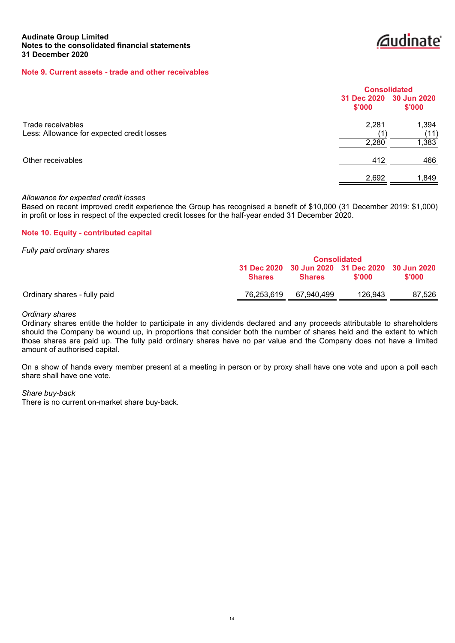*<u>Caudinate</u>* 

#### **Note 9. Current assets - trade and other receivables**

|                                                                 |                                   | <b>Consolidated</b>    |  |  |
|-----------------------------------------------------------------|-----------------------------------|------------------------|--|--|
|                                                                 | 31 Dec 2020 30 Jun 2020<br>\$'000 | \$'000                 |  |  |
| Trade receivables<br>Less: Allowance for expected credit losses | 2,281<br>11<br>2,280              | 1,394<br>(11)<br>1,383 |  |  |
| Other receivables                                               | 412                               | 466                    |  |  |
|                                                                 | 2,692                             | 1,849                  |  |  |

#### *Allowance for expected credit losses*

Based on recent improved credit experience the Group has recognised a benefit of \$10,000 (31 December 2019: \$1,000) in profit or loss in respect of the expected credit losses for the half-year ended 31 December 2020.

#### **Note 10. Equity - contributed capital**

*Fully paid ordinary shares*

|                              | <b>Consolidated</b> |               |                                                           |        |
|------------------------------|---------------------|---------------|-----------------------------------------------------------|--------|
|                              | <b>Shares</b>       | <b>Shares</b> | 31 Dec 2020 30 Jun 2020 31 Dec 2020 30 Jun 2020<br>\$'000 | \$'000 |
| Ordinary shares - fully paid | 76,253,619          | 67.940.499    | 126.943                                                   | 87.526 |

#### *Ordinary shares*

Ordinary shares entitle the holder to participate in any dividends declared and any proceeds attributable to shareholders should the Company be wound up, in proportions that consider both the number of shares held and the extent to which those shares are paid up. The fully paid ordinary shares have no par value and the Company does not have a limited amount of authorised capital.

On a show of hands every member present at a meeting in person or by proxy shall have one vote and upon a poll each share shall have one vote.

#### *Share buy-back*

There is no current on-market share buy-back.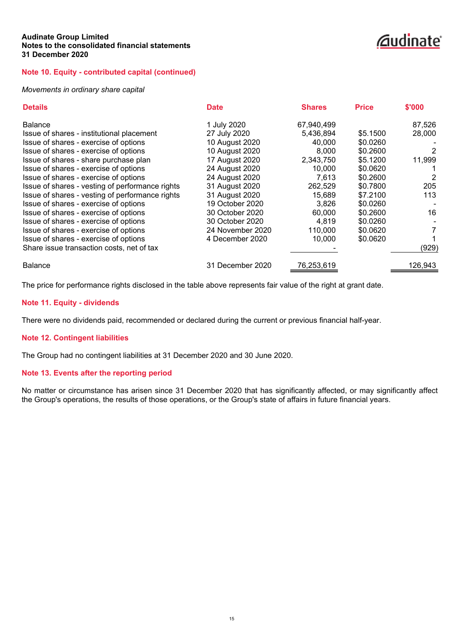### *<u></u>*audinate®

#### **Note 10. Equity - contributed capital (continued)**

#### *Movements in ordinary share capital*

| <b>Details</b>                                  | <b>Date</b>      | <b>Shares</b> | <b>Price</b> | \$'000  |
|-------------------------------------------------|------------------|---------------|--------------|---------|
| <b>Balance</b>                                  | 1 July 2020      | 67,940,499    |              | 87,526  |
| Issue of shares - institutional placement       | 27 July 2020     | 5,436,894     | \$5.1500     | 28,000  |
| Issue of shares - exercise of options           | 10 August 2020   | 40,000        | \$0.0260     |         |
| Issue of shares - exercise of options           | 10 August 2020   | 8,000         | \$0.2600     | 2       |
| Issue of shares - share purchase plan           | 17 August 2020   | 2,343,750     | \$5.1200     | 11,999  |
| Issue of shares - exercise of options           | 24 August 2020   | 10.000        | \$0.0620     |         |
| Issue of shares - exercise of options           | 24 August 2020   | 7,613         | \$0.2600     | 2       |
| Issue of shares - vesting of performance rights | 31 August 2020   | 262,529       | \$0.7800     | 205     |
| Issue of shares - vesting of performance rights | 31 August 2020   | 15,689        | \$7.2100     | 113     |
| Issue of shares - exercise of options           | 19 October 2020  | 3,826         | \$0.0260     |         |
| Issue of shares - exercise of options           | 30 October 2020  | 60.000        | \$0.2600     | 16      |
| Issue of shares - exercise of options           | 30 October 2020  | 4.819         | \$0.0260     |         |
| Issue of shares - exercise of options           | 24 November 2020 | 110,000       | \$0.0620     | 7       |
| Issue of shares - exercise of options           | 4 December 2020  | 10,000        | \$0.0620     |         |
| Share issue transaction costs, net of tax       |                  |               |              | (929)   |
| <b>Balance</b>                                  | 31 December 2020 | 76,253,619    |              | 126,943 |

The price for performance rights disclosed in the table above represents fair value of the right at grant date.

#### **Note 11. Equity - dividends**

There were no dividends paid, recommended or declared during the current or previous financial half-year.

#### **Note 12. Contingent liabilities**

The Group had no contingent liabilities at 31 December 2020 and 30 June 2020.

#### **Note 13. Events after the reporting period**

No matter or circumstance has arisen since 31 December 2020 that has significantly affected, or may significantly affect the Group's operations, the results of those operations, or the Group's state of affairs in future financial years.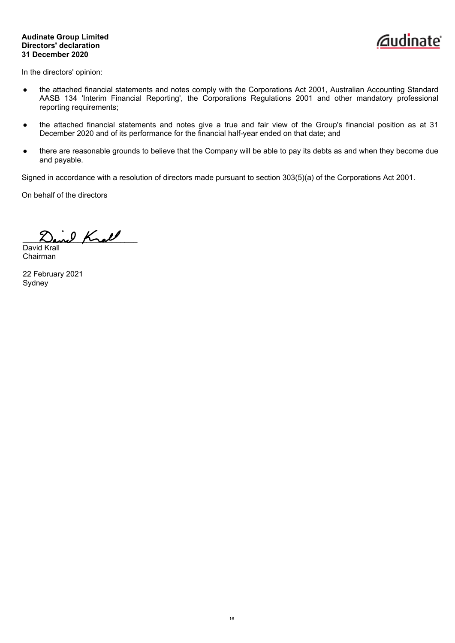#### **Audinate Group Limited Directors' declaration 31 December 2020**



<span id="page-18-0"></span>In the directors' opinion:

- the attached financial statements and notes comply with the Corporations Act 2001, Australian Accounting Standard AASB 134 'Interim Financial Reporting', the Corporations Regulations 2001 and other mandatory professional reporting requirements;
- the attached financial statements and notes give a true and fair view of the Group's financial position as at 31 December 2020 and of its performance for the financial half-year ended on that date; and
- there are reasonable grounds to believe that the Company will be able to pay its debts as and when they become due and payable.

Signed in accordance with a resolution of directors made pursuant to section 303(5)(a) of the Corporations Act 2001.

On behalf of the directors

ine Krall

David Krall Chairman

22 February 2021 Sydney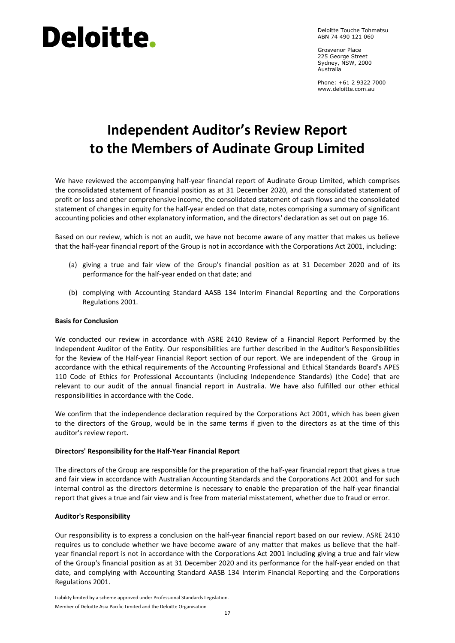# **Deloitte.**

Deloitte Touche Tohmatsu ABN 74 490 121 060

Grosvenor Place 225 George Street Sydney, NSW, 2000 Australia

<span id="page-19-0"></span>Phone: +61 2 9322 7000 www.deloitte.com.au

### **Independent Auditor's Review Report to the Members of Audinate Group Limited**

We have reviewed the accompanying half-year financial report of Audinate Group Limited, which comprises the consolidated statement of financial position as at 31 December 2020, and the consolidated statement of profit or loss and other comprehensive income, the consolidated statement of cash flows and the consolidated statement of changes in equity for the half-year ended on that date, notes comprising a summary of significant accounting policies and other explanatory information, and the directors' declaration as set out on page 16.

Based on our review, which is not an audit, we have not become aware of any matter that makes us believe that the half-year financial report of the Group is not in accordance with the Corporations Act 2001, including:

- (a) giving a true and fair view of the Group's financial position as at 31 December 2020 and of its performance for the half-year ended on that date; and
- (b) complying with Accounting Standard AASB 134 Interim Financial Reporting and the Corporations Regulations 2001.

#### **Basis for Conclusion**

We conducted our review in accordance with ASRE 2410 Review of a Financial Report Performed by the Independent Auditor of the Entity. Our responsibilities are further described in the Auditor's Responsibilities for the Review of the Half-year Financial Report section of our report. We are independent of the Group in accordance with the ethical requirements of the Accounting Professional and Ethical Standards Board's APES 110 Code of Ethics for Professional Accountants (including Independence Standards) (the Code) that are relevant to our audit of the annual financial report in Australia. We have also fulfilled our other ethical responsibilities in accordance with the Code.

We confirm that the independence declaration required by the Corporations Act 2001, which has been given to the directors of the Group, would be in the same terms if given to the directors as at the time of this auditor's review report.

#### **Directors' Responsibility for the Half-Year Financial Report**

The directors of the Group are responsible for the preparation of the half-year financial report that gives a true and fair view in accordance with Australian Accounting Standards and the Corporations Act 2001 and for such internal control as the directors determine is necessary to enable the preparation of the half-year financial report that gives a true and fair view and is free from material misstatement, whether due to fraud or error.

#### **Auditor's Responsibility**

Our responsibility is to express a conclusion on the half-year financial report based on our review. ASRE 2410 requires us to conclude whether we have become aware of any matter that makes us believe that the halfyear financial report is not in accordance with the Corporations Act 2001 including giving a true and fair view of the Group's financial position as at 31 December 2020 and its performance for the half-year ended on that date, and complying with Accounting Standard AASB 134 Interim Financial Reporting and the Corporations Regulations 2001.